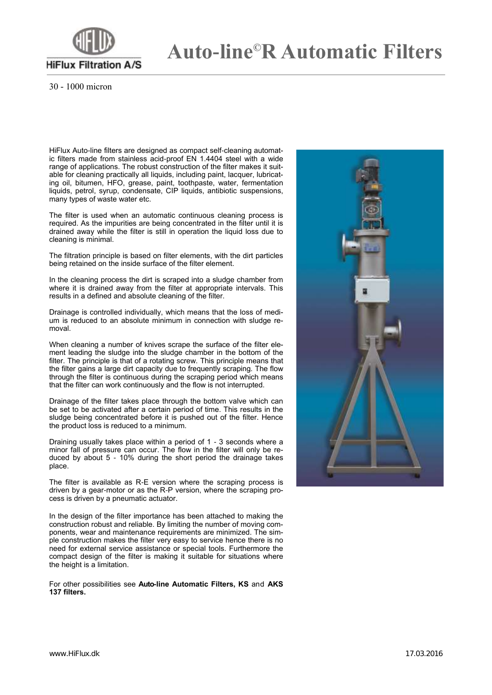

## **Auto-line©R Automatic Filters**

30 - 1000 micron

HiFlux Auto-line filters are designed as compact self-cleaning automatic filters made from stainless acid-proof EN 1.4404 steel with a wide range of applications. The robust construction of the filter makes it suitable for cleaning practically all liquids, including paint, lacquer, lubricating oil, bitumen, HFO, grease, paint, toothpaste, water, fermentation liquids, petrol, syrup, condensate, CIP liquids, antibiotic suspensions, many types of waste water etc.

The filter is used when an automatic continuous cleaning process is required. As the impurities are being concentrated in the filter until it is drained away while the filter is still in operation the liquid loss due to cleaning is minimal.

The filtration principle is based on filter elements, with the dirt particles being retained on the inside surface of the filter element.

In the cleaning process the dirt is scraped into a sludge chamber from where it is drained away from the filter at appropriate intervals. This results in a defined and absolute cleaning of the filter.

Drainage is controlled individually, which means that the loss of medium is reduced to an absolute minimum in connection with sludge removal.

When cleaning a number of knives scrape the surface of the filter element leading the sludge into the sludge chamber in the bottom of the filter. The principle is that of a rotating screw. This principle means that the filter gains a large dirt capacity due to frequently scraping. The flow through the filter is continuous during the scraping period which means that the filter can work continuously and the flow is not interrupted.

Drainage of the filter takes place through the bottom valve which can be set to be activated after a certain period of time. This results in the sludge being concentrated before it is pushed out of the filter. Hence the product loss is reduced to a minimum.

Draining usually takes place within a period of 1 - 3 seconds where a minor fall of pressure can occur. The flow in the filter will only be reduced by about 5 - 10% during the short period the drainage takes place.

The filter is available as R-E version where the scraping process is driven by a gear-motor or as the R-P version, where the scraping process is driven by a pneumatic actuator.

In the design of the filter importance has been attached to making the construction robust and reliable. By limiting the number of moving components, wear and maintenance requirements are minimized. The simple construction makes the filter very easy to service hence there is no need for external service assistance or special tools. Furthermore the compact design of the filter is making it suitable for situations where the height is a limitation.

For other possibilities see **Auto-line Automatic Filters, KS** and **AKS 137 filters.**

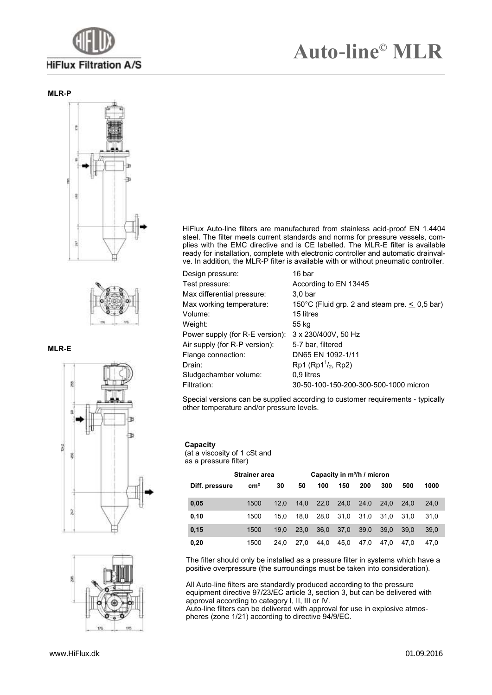

#### **MLR-P**





### **MLR-E**





HiFlux Auto-line filters are manufactured from stainless acid-proof EN 1.4404 steel. The filter meets current standards and norms for pressure vessels, complies with the EMC directive and is CE labelled. The MLR-E filter is available ready for installation, complete with electronic controller and automatic drainvalve. In addition, the MLR-P filter is available with or without pneumatic controller.

| Design pressure:                | 16 bar                                             |
|---------------------------------|----------------------------------------------------|
| Test pressure:                  | According to EN 13445                              |
| Max differential pressure:      | 3.0 <sub>bar</sub>                                 |
| Max working temperature:        | 150°C (Fluid grp. 2 and steam pre. $\leq$ 0,5 bar) |
| Volume:                         | 15 litres                                          |
| Weight:                         | 55 kg                                              |
| Power supply (for R-E version): | 3 x 230/400V, 50 Hz                                |
| Air supply (for R-P version):   | 5-7 bar, filtered                                  |
| Flange connection:              | DN65 EN 1092-1/11                                  |
| Drain:                          | $Rp1 (Rp11/2, Rp2)$                                |
| Sludgechamber volume:           | 0.9 litres                                         |
| Filtration:                     | 30-50-100-150-200-300-500-1000 micron              |
|                                 |                                                    |

Special versions can be supplied according to customer requirements - typically other temperature and/or pressure levels.

#### **Capacity**

(at a viscosity of 1 cSt and as a pressure filter)

|                | <b>Strainer area</b> |      |      | Capacity in m <sup>3</sup> /h / micron |      |      |      |      |      |
|----------------|----------------------|------|------|----------------------------------------|------|------|------|------|------|
| Diff. pressure | cm <sup>2</sup>      | 30   | 50   | 100                                    | 150  | 200  | 300  | 500  | 1000 |
| 0,05           | 1500                 | 12.0 | 14.0 | 22.0                                   | 24.0 | 24.0 | 24.0 | 24.0 | 24.0 |
| 0,10           | 1500                 | 15.0 | 18.0 | 28.0                                   | 31.0 | 31.0 | 31.0 | 31.0 | 31.0 |
| 0,15           | 1500                 | 19.0 | 23.0 | 36.0                                   | 37.0 | 39.0 | 39.0 | 39.0 | 39.0 |
| 0,20           | 1500                 | 24.0 | 27.0 | 44.0                                   | 45.0 | 47.0 | 47.0 | 47.0 | 47.0 |

The filter should only be installed as a pressure filter in systems which have a positive overpressure (the surroundings must be taken into consideration).

All Auto-line filters are standardly produced according to the pressure equipment directive 97/23/EC article 3, section 3, but can be delivered with approval according to category I, II, III or IV.

Auto-line filters can be delivered with approval for use in explosive atmospheres (zone 1/21) according to directive 94/9/EC.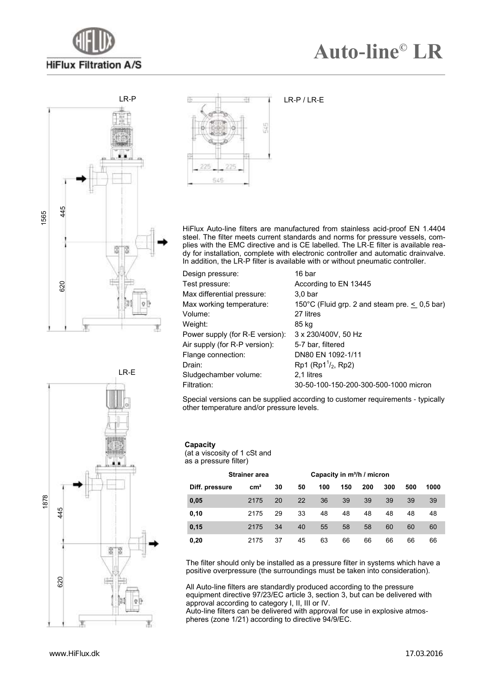



LR-E



HiFlux Auto-line filters are manufactured from stainless acid-proof EN 1.4404 steel. The filter meets current standards and norms for pressure vessels, complies with the EMC directive and is CE labelled. The LR-E filter is available ready for installation, complete with electronic controller and automatic drainvalve. In addition, the LR-P filter is available with or without pneumatic controller.

| Design pressure:                | 16 bar                                             |
|---------------------------------|----------------------------------------------------|
| Test pressure:                  | According to EN 13445                              |
| Max differential pressure:      | 3.0 <sub>bar</sub>                                 |
| Max working temperature:        | 150°C (Fluid grp. 2 and steam pre. $\leq$ 0,5 bar) |
| Volume:                         | 27 litres                                          |
| Weight:                         | 85 kg                                              |
| Power supply (for R-E version): | 3 x 230/400V, 50 Hz                                |
| Air supply (for R-P version):   | 5-7 bar, filtered                                  |
| Flange connection:              | DN80 EN 1092-1/11                                  |
| Drain:                          | $Rp1 (Rp11/2, Rp2)$                                |
| Sludgechamber volume:           | 2.1 litres                                         |
| Filtration:                     | 30-50-100-150-200-300-500-1000 micron              |

Special versions can be supplied according to customer requirements - typically other temperature and/or pressure levels.

#### **Capacity**

(at a viscosity of 1 cSt and as a pressure filter)

|                | <b>Strainer area</b> |    |    |     | Capacity in m <sup>3</sup> /h / micron |     |     |     |      |
|----------------|----------------------|----|----|-----|----------------------------------------|-----|-----|-----|------|
| Diff. pressure | $\rm cm^2$           | 30 | 50 | 100 | 150                                    | 200 | 300 | 500 | 1000 |
| 0,05           | 2175                 | 20 | 22 | 36  | 39                                     | 39  | 39  | 39  | 39   |
| 0,10           | 2175                 | 29 | 33 | 48  | 48                                     | 48  | 48  | 48  | 48   |
| 0,15           | 2175                 | 34 | 40 | 55  | 58                                     | 58  | 60  | 60  | 60   |
| 0,20           | 2175                 | 37 | 45 | 63  | 66                                     | 66  | 66  | 66  | 66   |

The filter should only be installed as a pressure filter in systems which have a positive overpressure (the surroundings must be taken into consideration).

All Auto-line filters are standardly produced according to the pressure equipment directive 97/23/EC article 3, section 3, but can be delivered with approval according to category I, II, III or IV. Auto-line filters can be delivered with approval for use in explosive atmospheres (zone 1/21) according to directive 94/9/EC.



www.HiFlux.dk

17.03.2016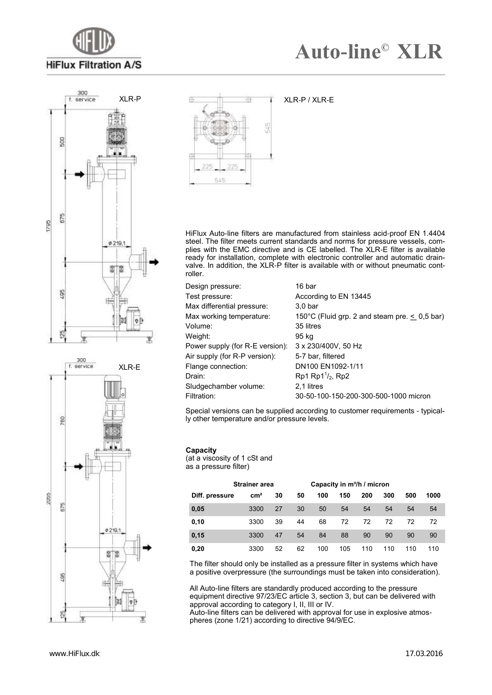







XLR-P / XLR-E

HiFlux Auto-line filters are manufactured from stainless acid-proof EN 1.4404 steel. The filter meets current standards and norms for pressure vessels, complies with the EMC directive and is CE labelled. The XLR-E filter is available ready for installation, complete with electronic controller and automatic drainvalve. In addition, the XLR-P filter is available with or without pneumatic controller.

| Design pressure:                | 16 bar                                             |
|---------------------------------|----------------------------------------------------|
| Test pressure:                  | According to EN 13445                              |
| Max differential pressure:      | 3.0 <sub>bar</sub>                                 |
| Max working temperature:        | 150°C (Fluid grp. 2 and steam pre. $\leq 0.5$ bar) |
| Volume:                         | 35 litres                                          |
| Weight:                         | 95 kg                                              |
| Power supply (for R-E version): | 3 x 230/400V, 50 Hz                                |
| Air supply (for R-P version):   | 5-7 bar, filtered                                  |
| Flange connection:              | DN100 EN1092-1/11                                  |
| Drain:                          | $Rp1 Rp1^{1/2}$ , Rp2                              |
| Sludgechamber volume:           | 2.1 litres                                         |
| Filtration:                     | 30-50-100-150-200-300-500-1000 micron              |

Special versions can be supplied according to customer requirements - typically other temperature and/or pressure levels.

#### **Capacity**

(at a viscosity of 1 cSt and as a pressure filter)

|                | <b>Strainer area</b> |    |    | Capacity in m <sup>3</sup> /h / micron |     |     |     |     |      |
|----------------|----------------------|----|----|----------------------------------------|-----|-----|-----|-----|------|
| Diff. pressure | $\rm cm^2$           | 30 | 50 | 100                                    | 150 | 200 | 300 | 500 | 1000 |
| 0,05           | 3300                 | 27 | 30 | 50                                     | 54  | 54  | 54  | 54  | 54   |
| 0, 10          | 3300                 | 39 | 44 | 68                                     | 72  | 72  | 72  | 72  | 72   |
| 0,15           | 3300                 | 47 | 54 | 84                                     | 88  | 90  | 90  | 90  | 90   |
| 0,20           | 3300                 | 52 | 62 | 100                                    | 105 | 110 | 110 | 110 | 110  |

The filter should only be installed as a pressure filter in systems which have a positive overpressure (the surroundings must be taken into consideration).

All Auto-line filters are standardly produced according to the pressure equipment directive 97/23/EC article 3, section 3, but can be delivered with approval according to category I, II, III or IV.

Auto-line filters can be delivered with approval for use in explosive atmospheres (zone 1/21) according to directive 94/9/EC.